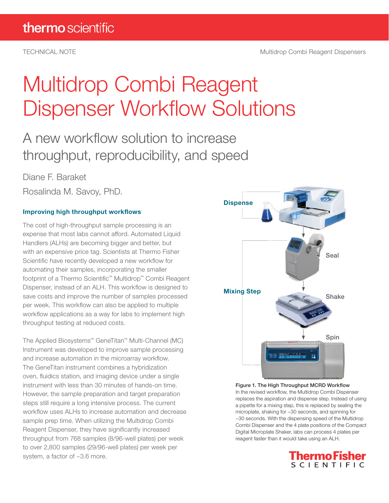# Multidrop Combi Reagent Dispenser Workflow Solutions

### A new workflow solution to increase throughput, reproducibility, and speed

Diane F. Baraket

Rosalinda M. Savoy, PhD.

#### Improving high throughput workflows

The cost of high-throughput sample processing is an expense that most labs cannot afford. Automated Liquid Handlers (ALHs) are becoming bigger and better, but with an expensive price tag. Scientists at Thermo Fisher Scientific have recently developed a new workflow for automating their samples, incorporating the smaller footprint of a Thermo Scientific™ Multidrop™ Combi Reagent Dispenser, instead of an ALH. This workflow is designed to save costs and improve the number of samples processed per week. This workflow can also be applied to multiple workflow applications as a way for labs to implement high throughput testing at reduced costs.

The Applied Biosystems™ GeneTitan™ Multi-Channel (MC) Instrument was developed to improve sample processing and increase automation in the microarray workflow. The GeneTitan instrument combines a hybridization oven, fluidics station, and imaging device under a single instrument with less than 30 minutes of hands-on time. However, the sample preparation and target preparation steps still require a long intensive process. The current workflow uses ALHs to increase automation and decrease sample prep time. When utilizing the Multidrop Combi Reagent Dispenser, they have significantly increased throughput from 768 samples (8/96-well plates) per week to over 2,800 samples (29/96-well plates) per week per system, a factor of ~3.6 more.



Figure 1. The High Throughput MCRD Workflow In the revised workflow, the Multidrop Combi Dispenser replaces the aspiration and dispense step. Instead of using a pipette for a mixing step, this is replaced by sealing the microplate, shaking for ~30 seconds, and spinning for ~30 seconds. With the dispensing speed of the Multidrop Combi Dispenser and the 4 plate positions of the Compact Digital Microplate Shaker, labs can process 4 plates per reagent faster than it would take using an ALH.

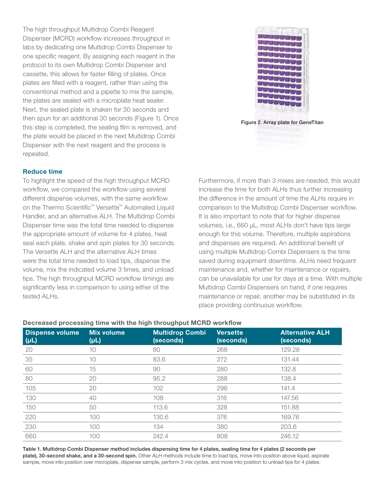The high throughput Multidrop Combi Reagent Dispenser (MCRD) workflow increases throughput in labs by dedicating one Multidrop Combi Dispenser to one specific reagent. By assigning each reagent in the protocol to its own Multidrop Combi Dispenser and cassette, this allows for faster filling of plates. Once plates are filled with a reagent, rather than using the conventional method and a pipette to mix the sample, the plates are sealed with a microplate heat sealer. Next, the sealed plate is shaken for 30 seconds and then spun for an additional 30 seconds (Figure 1). Once this step is completed, the sealing film is removed, and the plate would be placed in the next Multidrop Combi Dispenser with the next reagent and the process is repeated.

#### Reduce time

To highlight the speed of the high throughput MCRD workflow, we compared the workflow using several different dispense volumes, with the same workflow on the Thermo Scientific™ Versette™ Automated Liquid Handler, and an alternative ALH. The Multidrop Combi Dispenser time was the total time needed to dispense the appropriate amount of volume for 4 plates, heat seal each plate, shake and spin plates for 30 seconds. The Versette ALH and the alternative ALH times were the total time needed to load tips, dispense the volume, mix the indicated volume 3 times, and unload tips. The high throughput MCRD workflow timings are significantly less in comparison to using either of the tested ALHs.



Figure 2. Array plate for GeneTitan

Furthermore, if more than 3 mixes are needed, this would increase the time for both ALHs thus further increasing the difference in the amount of time the ALHs require in comparison to the Multidrop Combi Dispenser workflow. It is also important to note that for higher dispense volumes, i.e., 660 µL, most ALHs don't have tips large enough for this volume. Therefore, multiple aspirations and dispenses are required. An additional benefit of using multiple Multidrop Combi Dispensers is the time saved during equipment downtime. ALHs need frequent maintenance and, whether for maintenance or repairs, can be unavailable for use for days at a time. With multiple Multidrop Combi Dispensers on hand, if one requires maintenance or repair, another may be substituted in its place providing continuous workflow.

| <b>Dispense volume</b><br>$(\mu L)$ | <b>Mix volume</b><br>$(\mu L)$ | <b>Multidrop Combi</b><br>(seconds) | <b>Versette</b><br>(seconds) | <b>Alternative ALH</b><br>(seconds) |
|-------------------------------------|--------------------------------|-------------------------------------|------------------------------|-------------------------------------|
| 20                                  | 10                             | 80                                  | 268                          | 129.28                              |
| 35                                  | 10                             | 83.6                                | 272                          | 131.44                              |
| 60                                  | 15                             | 90                                  | 280                          | 132.8                               |
| 80                                  | 20                             | 95.2                                | 288                          | 138.4                               |
| 105                                 | 20                             | 102                                 | 296                          | 141.4                               |
| 130                                 | 40                             | 108                                 | 316                          | 147.56                              |
| 150                                 | 50                             | 113.6                               | 328                          | 151.88                              |
| 220                                 | 100                            | 130.6                               | 376                          | 169.76                              |
| 230                                 | 100                            | 134                                 | 380                          | 203.6                               |
| 660                                 | 100                            | 242.4                               | 808                          | 246.12                              |

#### Decreased processing time with the high throughput MCRD workflow

Table 1. Multidrop Combi Dispenser method includes dispensing time for 4 plates, sealing time for 4 plates (2 seconds per plate), 30-second shake, and a 30-second spin. Other ALH methods include time to load tips, move into position above liquid, aspirate sample, move into position over microplate, dispense sample, perform 3 mix cycles, and move into position to unload tips for 4 plates.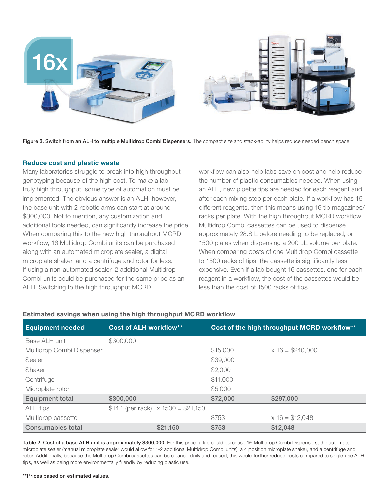

Figure 3. Switch from an ALH to multiple Multidrop Combi Dispensers. The compact size and stack-ability helps reduce needed bench space.

#### Reduce cost and plastic waste

Many laboratories struggle to break into high throughput genotyping because of the high cost. To make a lab truly high throughput, some type of automation must be implemented. The obvious answer is an ALH, however, the base unit with 2 robotic arms can start at around \$300,000. Not to mention, any customization and additional tools needed, can significantly increase the price. When comparing this to the new high throughput MCRD workflow, 16 Multidrop Combi units can be purchased along with an automated microplate sealer, a digital microplate shaker, and a centrifuge and rotor for less. If using a non-automated sealer, 2 additional Multidrop Combi units could be purchased for the same price as an ALH. Switching to the high throughput MCRD

workflow can also help labs save on cost and help reduce the number of plastic consumables needed. When using an ALH, new pipette tips are needed for each reagent and after each mixing step per each plate. If a workflow has 16 different reagents, then this means using 16 tip magazines/ racks per plate. With the high throughput MCRD workflow, Multidrop Combi cassettes can be used to dispense approximately 28.8 L before needing to be replaced, or 1500 plates when dispensing a 200 µL volume per plate. When comparing costs of one Multidrop Combi cassette to 1500 racks of tips, the cassette is significantly less expensive. Even if a lab bought 16 cassettes, one for each reagent in a workflow, the cost of the cassettes would be less than the cost of 1500 racks of tips.

#### Estimated savings when using the high throughput MCRD workflow

| <b>Equipment needed</b>   | <b>Cost of ALH workflow**</b> |                                            |          | Cost of the high throughput MCRD workflow** |
|---------------------------|-------------------------------|--------------------------------------------|----------|---------------------------------------------|
| Base ALH unit             | \$300,000                     |                                            |          |                                             |
| Multidrop Combi Dispenser |                               |                                            | \$15,000 | $x 16 = $240,000$                           |
| Sealer                    |                               |                                            | \$39,000 |                                             |
| Shaker                    |                               |                                            | \$2,000  |                                             |
| Centrifuge                |                               |                                            | \$11,000 |                                             |
| Microplate rotor          |                               |                                            | \$5,000  |                                             |
| <b>Equipment total</b>    | \$300,000                     |                                            | \$72,000 | \$297,000                                   |
| ALH tips                  |                               | \$14.1 (per rack) $\times$ 1500 = \$21,150 |          |                                             |
| Multidrop cassette        |                               |                                            | \$753    | $x 16 = $12,048$                            |
| Consumables total         |                               | \$21,150                                   | \$753    | \$12,048                                    |

Table 2. Cost of a base ALH unit is approximately \$300,000. For this price, a lab could purchase 16 Multidrop Combi Dispensers, the automated microplate sealer (manual microplate sealer would allow for 1-2 additional Multidrop Combi units), a 4 position microplate shaker, and a centrifuge and rotor. Additionally, because the Multidrop Combi cassettes can be cleaned daily and reused, this would further reduce costs compared to single-use ALH tips, as well as being more environmentally friendly by reducing plastic use.

#### \*\*Prices based on estimated values.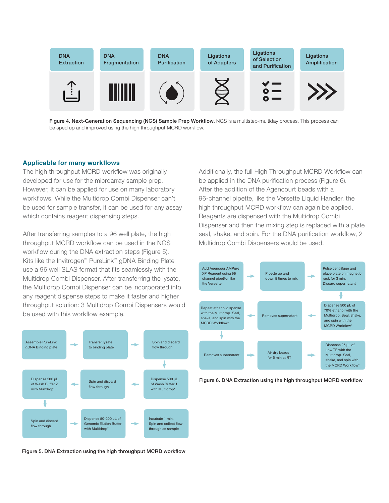

Figure 4. Next-Generation Sequencing (NGS) Sample Prep Workflow. NGS is a multistep-multiday process. This process can be sped up and improved using the high throughput MCRD workflow.

#### Applicable for many workflows

The high throughput MCRD workflow was originally developed for use for the microarray sample prep. However, it can be applied for use on many laboratory workflows. While the Multidrop Combi Dispenser can't be used for sample transfer, it can be used for any assay which contains reagent dispensing steps.

After transferring samples to a 96 well plate, the high throughput MCRD workflow can be used in the NGS workflow during the DNA extraction steps (Figure 5). Kits like the Invitrogen™ PureLink™ gDNA Binding Plate use a 96 well SLAS format that fits seamlessly with the Multidrop Combi Dispenser. After transferring the lysate, the Multidrop Combi Dispenser can be incorporated into any reagent dispense steps to make it faster and higher throughput solution: 3 Multidrop Combi Dispensers would be used with this workflow example.



Figure 5. DNA Extraction using the high throughput MCRD workflow

Additionally, the full High Throughput MCRD Workflow can be applied in the DNA purification process (Figure 6). After the addition of the Agencourt beads with a 96-channel pipette, like the Versette Liquid Handler, the high throughput MCRD workflow can again be applied. Reagents are dispensed with the Multidrop Combi Dispenser and then the mixing step is replaced with a plate seal, shake, and spin. For the DNA purification workflow, 2 Multidrop Combi Dispensers would be used.



Figure 6. DNA Extraction using the high throughput MCRD workflow